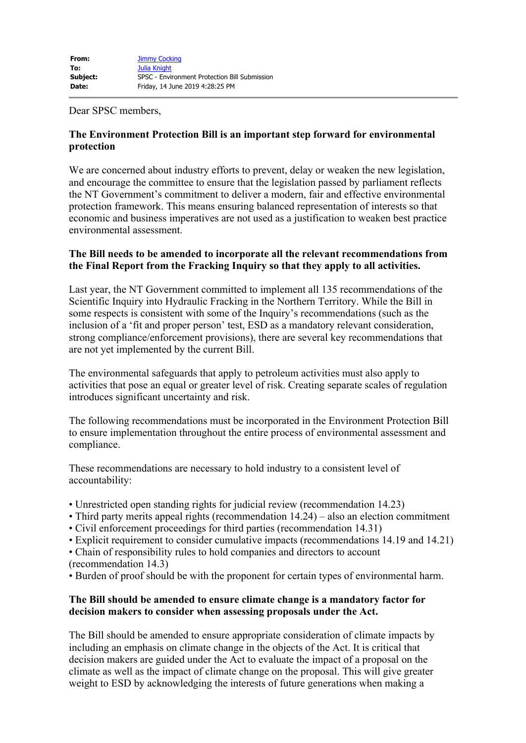Dear SPSC members,

# **The Environment Protection Bill is an important step forward for environmental protection**

We are concerned about industry efforts to prevent, delay or weaken the new legislation, and encourage the committee to ensure that the legislation passed by parliament reflects the NT Government's commitment to deliver a modern, fair and effective environmental protection framework. This means ensuring balanced representation of interests so that economic and business imperatives are not used as a justification to weaken best practice environmental assessment.

## **The Bill needs to be amended to incorporate all the relevant recommendations from the Final Report from the Fracking Inquiry so that they apply to all activities.**

Last year, the NT Government committed to implement all 135 recommendations of the Scientific Inquiry into Hydraulic Fracking in the Northern Territory. While the Bill in some respects is consistent with some of the Inquiry's recommendations (such as the inclusion of a 'fit and proper person' test, ESD as a mandatory relevant consideration, strong compliance/enforcement provisions), there are several key recommendations that are not yet implemented by the current Bill.

The environmental safeguards that apply to petroleum activities must also apply to activities that pose an equal or greater level of risk. Creating separate scales of regulation introduces significant uncertainty and risk.

The following recommendations must be incorporated in the Environment Protection Bill to ensure implementation throughout the entire process of environmental assessment and compliance.

These recommendations are necessary to hold industry to a consistent level of accountability:

- Unrestricted open standing rights for judicial review (recommendation 14.23)
- Third party merits appeal rights (recommendation 14.24) also an election commitment
- Civil enforcement proceedings for third parties (recommendation 14.31)
- Explicit requirement to consider cumulative impacts (recommendations 14.19 and 14.21)
- Chain of responsibility rules to hold companies and directors to account
- (recommendation 14.3)
- Burden of proof should be with the proponent for certain types of environmental harm.

## **The Bill should be amended to ensure climate change is a mandatory factor for decision makers to consider when assessing proposals under the Act.**

The Bill should be amended to ensure appropriate consideration of climate impacts by including an emphasis on climate change in the objects of the Act. It is critical that decision makers are guided under the Act to evaluate the impact of a proposal on the climate as well as the impact of climate change on the proposal. This will give greater weight to ESD by acknowledging the interests of future generations when making a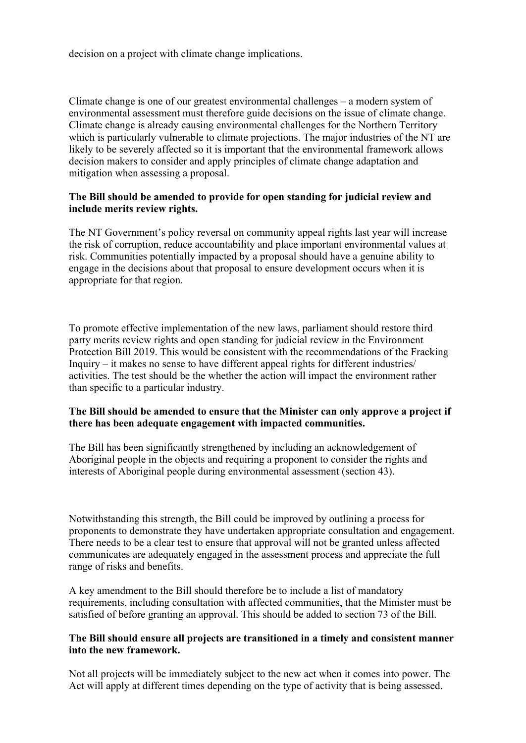decision on a project with climate change implications.

Climate change is one of our greatest environmental challenges – a modern system of environmental assessment must therefore guide decisions on the issue of climate change. Climate change is already causing environmental challenges for the Northern Territory which is particularly vulnerable to climate projections. The major industries of the NT are likely to be severely affected so it is important that the environmental framework allows decision makers to consider and apply principles of climate change adaptation and mitigation when assessing a proposal.

#### **The Bill should be amended to provide for open standing for judicial review and include merits review rights.**

The NT Government's policy reversal on community appeal rights last year will increase the risk of corruption, reduce accountability and place important environmental values at risk. Communities potentially impacted by a proposal should have a genuine ability to engage in the decisions about that proposal to ensure development occurs when it is appropriate for that region.

To promote effective implementation of the new laws, parliament should restore third party merits review rights and open standing for judicial review in the Environment Protection Bill 2019. This would be consistent with the recommendations of the Fracking Inquiry – it makes no sense to have different appeal rights for different industries/ activities. The test should be the whether the action will impact the environment rather than specific to a particular industry.

## **The Bill should be amended to ensure that the Minister can only approve a project if there has been adequate engagement with impacted communities.**

The Bill has been significantly strengthened by including an acknowledgement of Aboriginal people in the objects and requiring a proponent to consider the rights and interests of Aboriginal people during environmental assessment (section 43).

Notwithstanding this strength, the Bill could be improved by outlining a process for proponents to demonstrate they have undertaken appropriate consultation and engagement. There needs to be a clear test to ensure that approval will not be granted unless affected communicates are adequately engaged in the assessment process and appreciate the full range of risks and benefits.

A key amendment to the Bill should therefore be to include a list of mandatory requirements, including consultation with affected communities, that the Minister must be satisfied of before granting an approval. This should be added to section 73 of the Bill.

#### **The Bill should ensure all projects are transitioned in a timely and consistent manner into the new framework.**

Not all projects will be immediately subject to the new act when it comes into power. The Act will apply at different times depending on the type of activity that is being assessed.